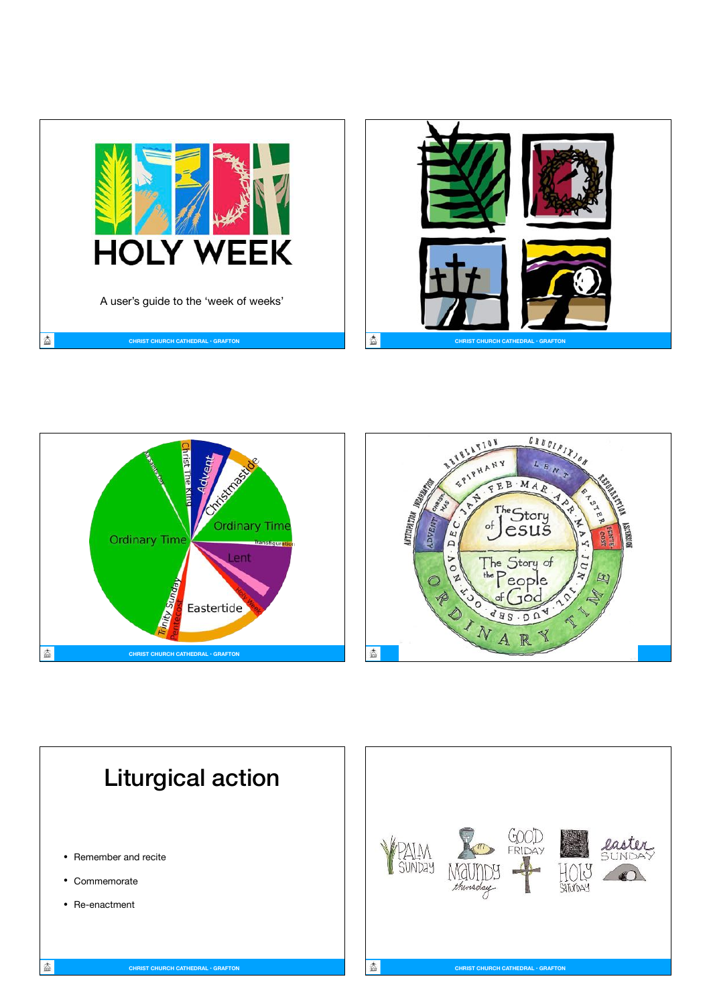







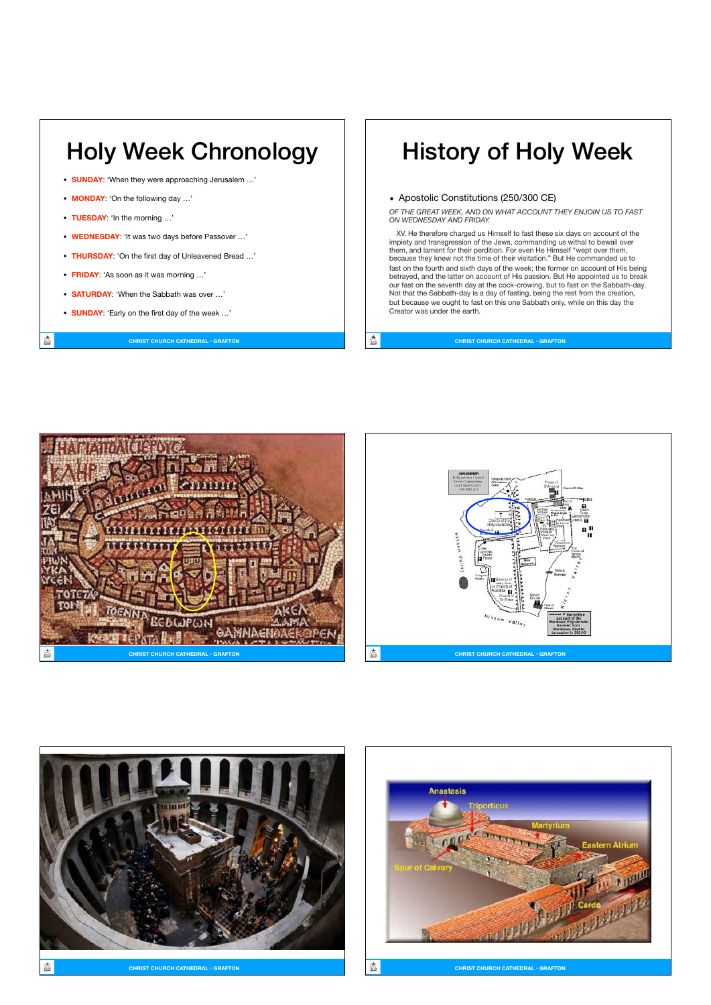

- **MONDAY**: 'On the following day …'
- **TUESDAY**: 'In the morning …'

大

- **WEDNESDAY**: 'It was two days before Passover …'
- **THURSDAY**: 'On the first day of Unleavened Bread …'
- **FRIDAY**: 'As soon as it was morning …'
- **SATURDAY**: 'When the Sabbath was over …'
- **SUNDAY**: 'Early on the first day of the week …'

#### **CHRIST CHURCH CATHEDRAL • GRAFTON**

## History of Holy Week

• Apostolic Constitutions (250/300 CE)

*OF THE GREAT WEEK, AND ON WHAT ACCOUNT THEY ENJOIN US TO FAST ON WEDNESDAY AND FRIDAY.* 

XV. He therefore charged us Himself to fast these six days on account of the impiety and transgression of the Jews, commanding us withal to bewail over them, and lament for their perdition. For even He Himself "wept over them, because they knew not the time of their visitation." But He commanded us to fast on the fourth and sixth days of the week; the former on account of His being betrayed, and the latter on account of His passion. But He appointed us to break our fast on the seventh day at the cock-crowing, but to fast on the Sabbath-day. Not that the Sabbath-day is a day of fasting, being the rest from the creation, but because we ought to fast on this one Sabbath only, while on this day the Creator was under the earth.

态 **CHRIST CHURCH CATHEDRAL • GRAFTON**







Anastasis orticus All Assessment Prince and Man

**CHRIST CHURCH CATHEDRAL • GRAFTON CHRIST CHURCH CATHEDRAL • GRAFTON**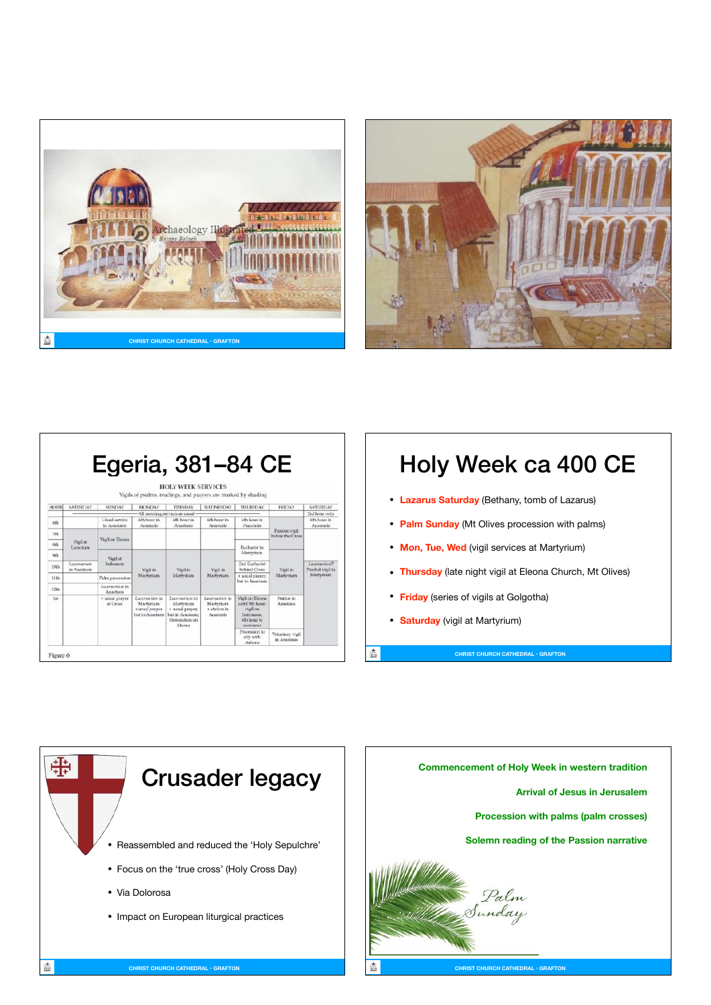



|                 |                             | Egeria, 381–84 CE                |                                                                                                 | <b>HOLY WEEK SERVICES</b><br>Vigils of psalms, readings, and prayers are marked by shading             |                                                           |                                                                                           |                                                  |                                                  |
|-----------------|-----------------------------|----------------------------------|-------------------------------------------------------------------------------------------------|--------------------------------------------------------------------------------------------------------|-----------------------------------------------------------|-------------------------------------------------------------------------------------------|--------------------------------------------------|--------------------------------------------------|
| <b>SEX 102</b>  | SATURDAY                    | <b>SUNTARY</b>                   | MONDAY                                                                                          | TUESDAY                                                                                                | WEDNESDAY                                                 | THURSDAY                                                                                  | <b>FRIDAY</b>                                    | <b>SATURDAY</b>                                  |
|                 |                             |                                  | - All morning services as usual                                                                 |                                                                                                        |                                                           |                                                                                           |                                                  | 3rd hour only                                    |
| 6th             |                             | Liqual service<br>in Anastasis   | 6th hour in<br>Arastasis                                                                        | 6th hour in<br>Anastasis                                                                               | 6th hour in<br>Arvastasis                                 | 6th hour in<br>Anastasis                                                                  | Passion viell<br>before the Cross                | 6th hour in<br>Anastasis                         |
| 7th             | Vigil at<br>Lazarium        | Viail on Eleona                  |                                                                                                 |                                                                                                        |                                                           |                                                                                           |                                                  |                                                  |
| Sth             |                             |                                  |                                                                                                 |                                                                                                        |                                                           | Eucharist in<br>Martyrium                                                                 |                                                  |                                                  |
| <b>Gth</b>      | Lucenseigen<br>in Anastasis | Vigil at<br>Imbomon              | <b>Wgil</b> in<br>Martynium<br>Lucemarium in<br>Martyrium<br>+usual prayer.<br>but in Anastasis | Viail in<br>Martvrium                                                                                  | Vigil in<br>Martvrium                                     |                                                                                           | Vieil in<br>Martyrium<br>Station in<br>Amastasis |                                                  |
| 10th            |                             |                                  |                                                                                                 |                                                                                                        |                                                           | <b>2nd Eacharist</b><br>hehird Cross.                                                     |                                                  | La certatriuni?<br>Paschal vieil in<br>Martynium |
| 11th            |                             | Palm procession                  |                                                                                                 |                                                                                                        |                                                           | + usual prayer,<br>but in Arvastasis                                                      |                                                  |                                                  |
| 12th            |                             | La competitivation.<br>Anastasis |                                                                                                 |                                                                                                        |                                                           |                                                                                           |                                                  |                                                  |
| 1 <sup>st</sup> |                             | + usual oraver<br>at Cross.      |                                                                                                 | Lucrearium in<br><b>Martvriam</b><br>+ usual prayer.<br>but in Amastasis:<br>then station on<br>Eleona | Lucernarium in<br>Martyrium<br>a station in<br>Ariastasis | Vieil on Eirona.<br>centil 5th hour:<br>vigil on<br>Imboraon.<br>6th hour to<br>cockerous |                                                  |                                                  |
|                 |                             |                                  |                                                                                                 |                                                                                                        |                                                           | Procession to<br>city with<br>stations                                                    | Voluntary vigil<br>in Anastasis                  |                                                  |

# Holy Week ca 400 CE

- **Lazarus Saturday** (Bethany, tomb of Lazarus)
- **Palm Sunday** (Mt Olives procession with palms)
- **Mon, Tue, Wed** (vigil services at Martyrium)
- **Thursday** (late night vigil at Eleona Church, Mt Olives)

**CHRIST CHURCH CATHEDRAL • GRAFTON**

- **Friday** (series of vigils at Golgotha)
- **Saturday** (vigil at Martyrium)

盇





**CHRIST CHURCH CATHEDRAL • GRAFTON**